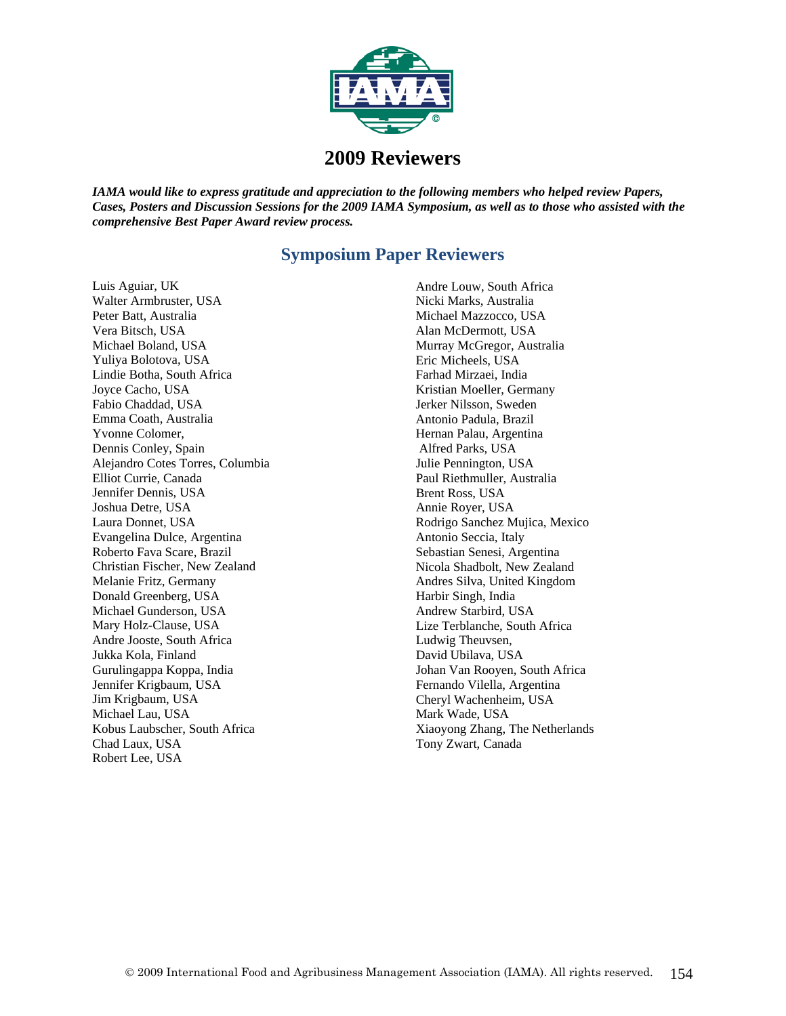

## **2009 Reviewers**

*IAMA would like to express gratitude and appreciation to the following members who helped review Papers, Cases, Posters and Discussion Sessions for the 2009 IAMA Symposium, as well as to those who assisted with the comprehensive Best Paper Award review process.*

## **Symposium Paper Reviewers**

Luis Aguiar, UK Walter Armbruster, USA Peter Batt, Australia Vera Bitsch, USA Michael Boland, USA Yuliya Bolotova, USA Lindie Botha, South Africa Joyce Cacho, USA Fabio Chaddad, USA Emma Coath, Australia Yvonne Colomer, Dennis Conley, Spain Alejandro Cotes Torres, Columbia Elliot Currie, Canada Jennifer Dennis, USA Joshua Detre, USA Laura Donnet, USA Evangelina Dulce, Argentina Roberto Fava Scare, Brazil Christian Fischer, New Zealand Melanie Fritz, Germany Donald Greenberg, USA Michael Gunderson, USA Mary Holz-Clause, USA Andre Jooste, South Africa Jukka Kola, Finland Gurulingappa Koppa, India Jennifer Krigbaum, USA Jim Krigbaum, USA Michael Lau, USA Kobus Laubscher, South Africa Chad Laux, USA Robert Lee, USA

Andre Louw, South Africa Nicki Marks, Australia Michael Mazzocco, USA Alan McDermott, USA Murray McGregor, Australia Eric Micheels, USA Farhad Mirzaei, India Kristian Moeller, Germany Jerker Nilsson, Sweden Antonio Padula, Brazil Hernan Palau, Argentina Alfred Parks, USA Julie Pennington, USA Paul Riethmuller, Australia Brent Ross, USA Annie Royer, USA Rodrigo Sanchez Mujica, Mexico Antonio Seccia, Italy Sebastian Senesi, Argentina Nicola Shadbolt, New Zealand Andres Silva, United Kingdom Harbir Singh, India Andrew Starbird, USA Lize Terblanche, South Africa Ludwig Theuvsen, David Ubilava, USA Johan Van Rooyen, South Africa Fernando Vilella, Argentina Cheryl Wachenheim, USA Mark Wade, USA Xiaoyong Zhang, The Netherlands Tony Zwart, Canada